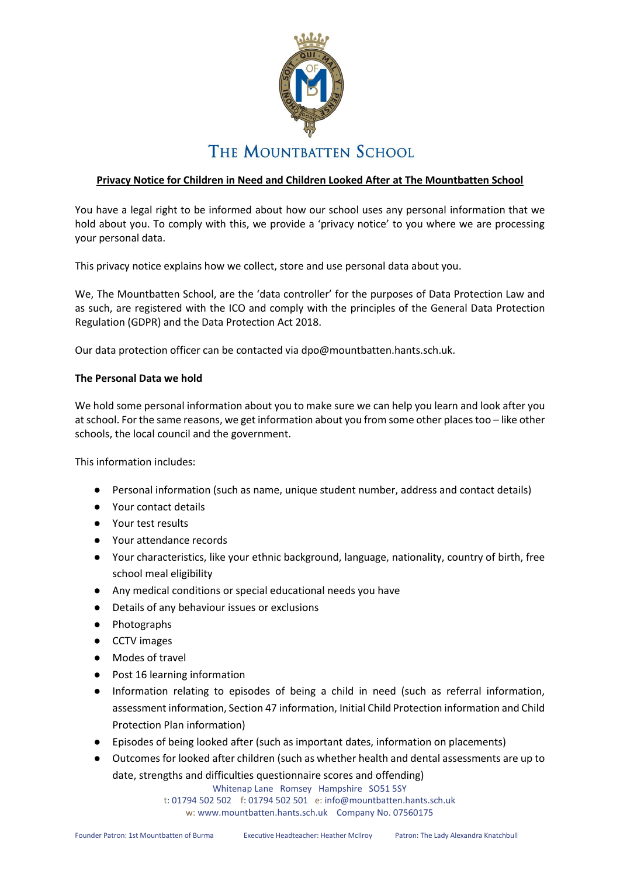

# **Privacy Notice for Children in Need and Children Looked After at The Mountbatten School**

You have a legal right to be informed about how our school uses any personal information that we hold about you. To comply with this, we provide a 'privacy notice' to you where we are processing your personal data.

This privacy notice explains how we collect, store and use personal data about you.

We, The Mountbatten School, are the 'data controller' for the purposes of Data Protection Law and as such, are registered with the ICO and comply with the principles of the General Data Protection Regulation (GDPR) and the Data Protection Act 2018.

Our data protection officer can be contacted via dpo@mountbatten.hants.sch.uk.

### **The Personal Data we hold**

We hold some personal information about you to make sure we can help you learn and look after you at school. For the same reasons, we get information about you from some other places too – like other schools, the local council and the government.

This information includes:

- Personal information (such as name, unique student number, address and contact details)
- Your contact details
- Your test results
- Your attendance records
- Your characteristics, like your ethnic background, language, nationality, country of birth, free school meal eligibility
- Any medical conditions or special educational needs you have
- Details of any behaviour issues or exclusions
- Photographs
- CCTV images
- Modes of travel
- Post 16 learning information
- Information relating to episodes of being a child in need (such as referral information, assessment information, Section 47 information, Initial Child Protection information and Child Protection Plan information)
- Episodes of being looked after (such as important dates, information on placements)
- Outcomes for looked after children (such as whether health and dental assessments are up to date, strengths and difficulties questionnaire scores and offending)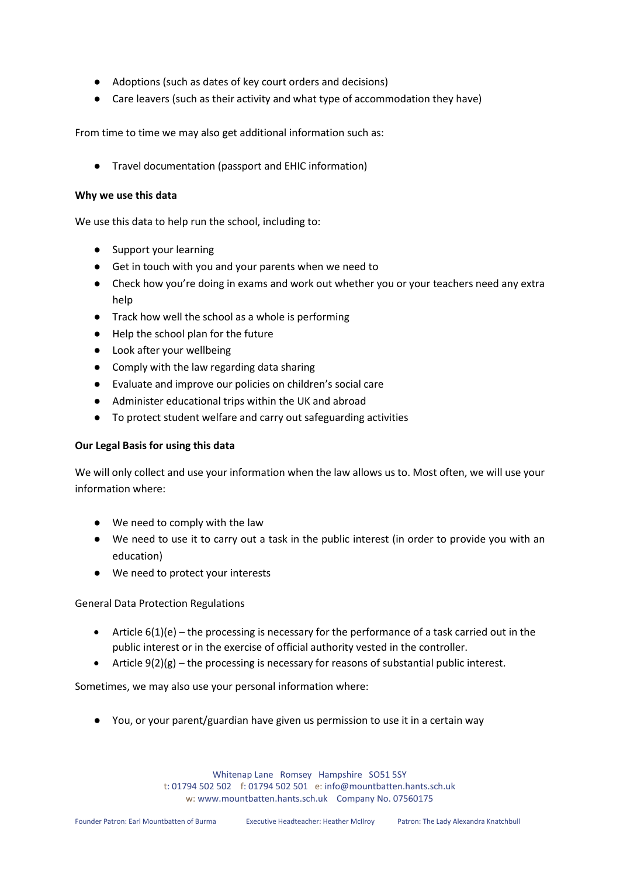- Adoptions (such as dates of key court orders and decisions)
- Care leavers (such as their activity and what type of accommodation they have)

From time to time we may also get additional information such as:

● Travel documentation (passport and EHIC information)

### **Why we use this data**

We use this data to help run the school, including to:

- Support your learning
- Get in touch with you and your parents when we need to
- Check how you're doing in exams and work out whether you or your teachers need any extra help
- Track how well the school as a whole is performing
- Help the school plan for the future
- Look after your wellbeing
- Comply with the law regarding data sharing
- Evaluate and improve our policies on children's social care
- Administer educational trips within the UK and abroad
- To protect student welfare and carry out safeguarding activities

### **Our Legal Basis for using this data**

We will only collect and use your information when the law allows us to. Most often, we will use your information where:

- We need to comply with the law
- We need to use it to carry out a task in the public interest (in order to provide you with an education)
- We need to protect your interests

### General Data Protection Regulations

- Article 6(1)(e) the processing is necessary for the performance of a task carried out in the public interest or in the exercise of official authority vested in the controller.
- Article  $9(2)(g)$  the processing is necessary for reasons of substantial public interest.

Sometimes, we may also use your personal information where:

● You, or your parent/guardian have given us permission to use it in a certain way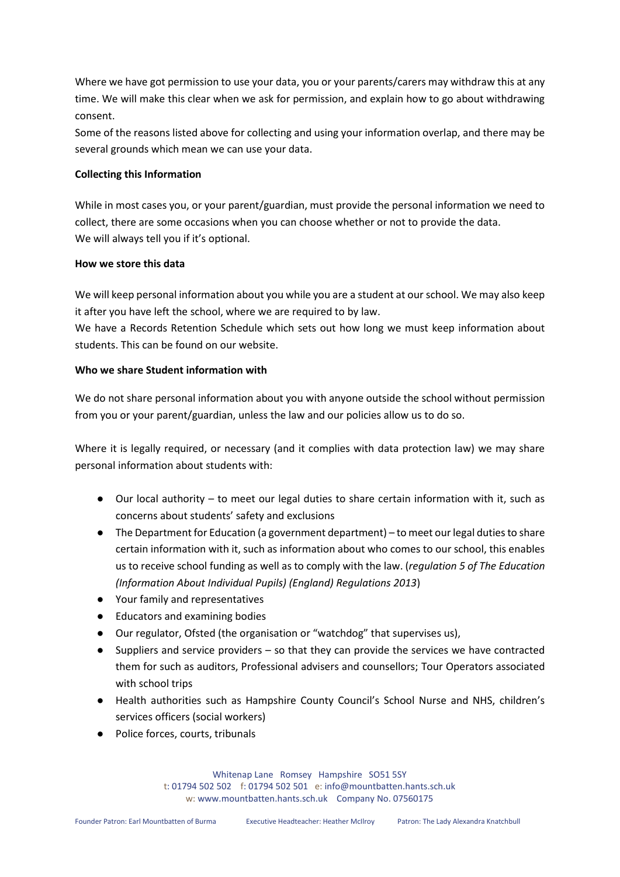Where we have got permission to use your data, you or your parents/carers may withdraw this at any time. We will make this clear when we ask for permission, and explain how to go about withdrawing consent.

Some of the reasons listed above for collecting and using your information overlap, and there may be several grounds which mean we can use your data.

### **Collecting this Information**

While in most cases you, or your parent/guardian, must provide the personal information we need to collect, there are some occasions when you can choose whether or not to provide the data. We will always tell you if it's optional.

### **How we store this data**

We will keep personal information about you while you are a student at our school. We may also keep it after you have left the school, where we are required to by law.

We have a Records Retention Schedule which sets out how long we must keep information about students. This can be found on our website.

### **Who we share Student information with**

We do not share personal information about you with anyone outside the school without permission from you or your parent/guardian, unless the law and our policies allow us to do so.

Where it is legally required, or necessary (and it complies with data protection law) we may share personal information about students with:

- Our local authority to meet our legal duties to share certain information with it, such as concerns about students' safety and exclusions
- The Department for Education (a government department) to meet our legal duties to share certain information with it, such as information about who comes to our school, this enables us to receive school funding as well as to comply with the law. (*regulation 5 of The Education (Information About Individual Pupils) (England) Regulations 2013*)
- Your family and representatives
- Educators and examining bodies
- Our regulator, Ofsted (the organisation or "watchdog" that supervises us),
- Suppliers and service providers  $-$  so that they can provide the services we have contracted them for such as auditors, Professional advisers and counsellors; Tour Operators associated with school trips
- Health authorities such as Hampshire County Council's School Nurse and NHS, children's services officers (social workers)
- Police forces, courts, tribunals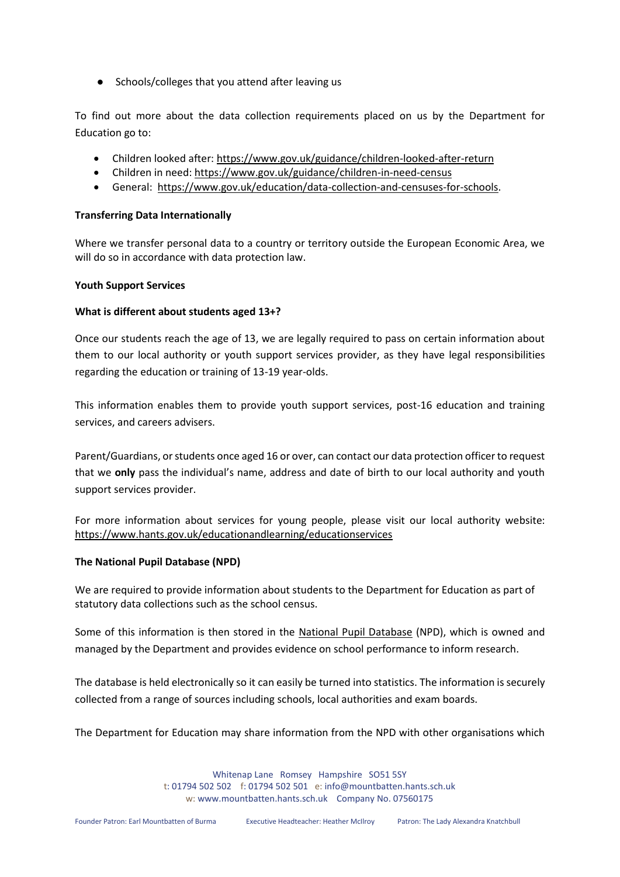● Schools/colleges that you attend after leaving us

To find out more about the data collection requirements placed on us by the Department for Education go to:

- Children looked after:<https://www.gov.uk/guidance/children-looked-after-return>
- Children in need:<https://www.gov.uk/guidance/children-in-need-census>
- General: [https://www.gov.uk/education/data-collection-and-censuses-for-schools.](https://www.gov.uk/education/data-collection-and-censuses-for-schools)

### **Transferring Data Internationally**

Where we transfer personal data to a country or territory outside the European Economic Area, we will do so in accordance with data protection law.

### **Youth Support Services**

### **What is different about students aged 13+?**

Once our students reach the age of 13, we are legally required to pass on certain information about them to our local authority or youth support services provider, as they have legal responsibilities regarding the education or training of 13-19 year-olds.

This information enables them to provide youth support services, post-16 education and training services, and careers advisers.

Parent/Guardians, or students once aged 16 or over, can contact our data protection officer to request that we **only** pass the individual's name, address and date of birth to our local authority and youth support services provider.

For more information about services for young people, please visit our local authority website: <https://www.hants.gov.uk/educationandlearning/educationservices>

## **The National Pupil Database (NPD)**

We are required to provide information about students to the Department for Education as part of statutory data collections such as the school census.

Some of this information is then stored in the [National Pupil Database](https://www.gov.uk/government/publications/national-pupil-database-user-guide-and-supporting-information) (NPD), which is owned and managed by the Department and provides evidence on school performance to inform research.

The database is held electronically so it can easily be turned into statistics. The information is securely collected from a range of sources including schools, local authorities and exam boards.

The Department for Education may share information from the NPD with other organisations which